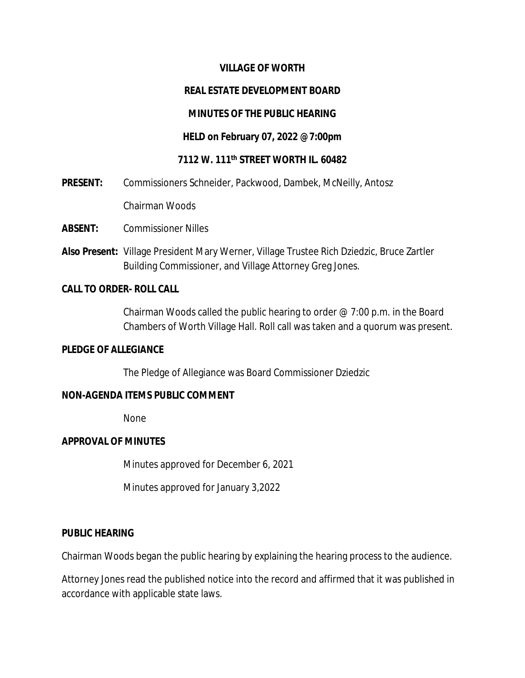### **VILLAGE OF WORTH**

### **REAL ESTATE DEVELOPMENT BOARD**

### **MINUTES OF THE PUBLIC HEARING**

#### **HELD on February 07, 2022 @7:00pm**

### **7112 W. 111th STREET WORTH IL. 60482**

**PRESENT:** Commissioners Schneider, Packwood, Dambek, McNeilly, Antosz

Chairman Woods

- **ABSENT:** Commissioner Nilles
- **Also Present:** Village President Mary Werner, Village Trustee Rich Dziedzic, Bruce Zartler Building Commissioner, and Village Attorney Greg Jones.

#### **CALL TO ORDER- ROLL CALL**

Chairman Woods called the public hearing to order @ 7:00 p.m. in the Board Chambers of Worth Village Hall. Roll call was taken and a quorum was present.

### **PLEDGE OF ALLEGIANCE**

The Pledge of Allegiance was Board Commissioner Dziedzic

#### **NON-AGENDA ITEMS PUBLIC COMMENT**

None

#### **APPROVAL OF MINUTES**

Minutes approved for December 6, 2021

Minutes approved for January 3,2022

### **PUBLIC HEARING**

Chairman Woods began the public hearing by explaining the hearing process to the audience.

Attorney Jones read the published notice into the record and affirmed that it was published in accordance with applicable state laws.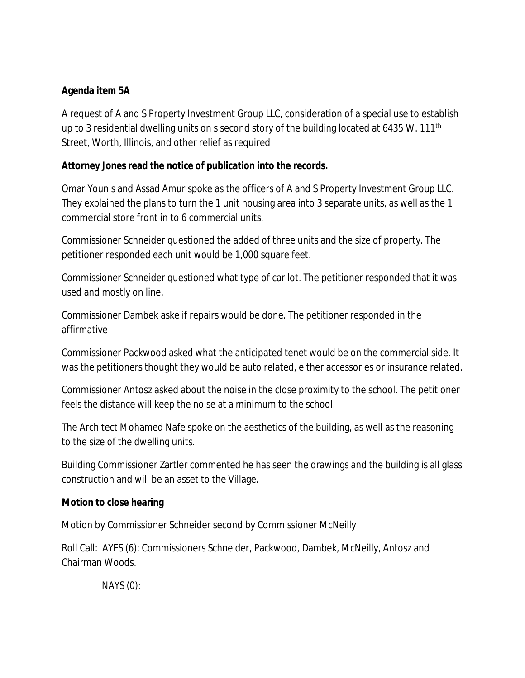# **Agenda item 5A**

A request of A and S Property Investment Group LLC, consideration of a special use to establish up to 3 residential dwelling units on s second story of the building located at 6435 W. 111<sup>th</sup> Street, Worth, Illinois, and other relief as required

# **Attorney Jones read the notice of publication into the records.**

Omar Younis and Assad Amur spoke as the officers of A and S Property Investment Group LLC. They explained the plans to turn the 1 unit housing area into 3 separate units, as well as the 1 commercial store front in to 6 commercial units.

Commissioner Schneider questioned the added of three units and the size of property. The petitioner responded each unit would be 1,000 square feet.

Commissioner Schneider questioned what type of car lot. The petitioner responded that it was used and mostly on line.

Commissioner Dambek aske if repairs would be done. The petitioner responded in the affirmative

Commissioner Packwood asked what the anticipated tenet would be on the commercial side. It was the petitioners thought they would be auto related, either accessories or insurance related.

Commissioner Antosz asked about the noise in the close proximity to the school. The petitioner feels the distance will keep the noise at a minimum to the school.

The Architect Mohamed Nafe spoke on the aesthetics of the building, as well as the reasoning to the size of the dwelling units.

Building Commissioner Zartler commented he has seen the drawings and the building is all glass construction and will be an asset to the Village.

# **Motion to close hearing**

Motion by Commissioner Schneider second by Commissioner McNeilly

Roll Call: AYES (6): Commissioners Schneider, Packwood, Dambek, McNeilly, Antosz and Chairman Woods.

NAYS (0):